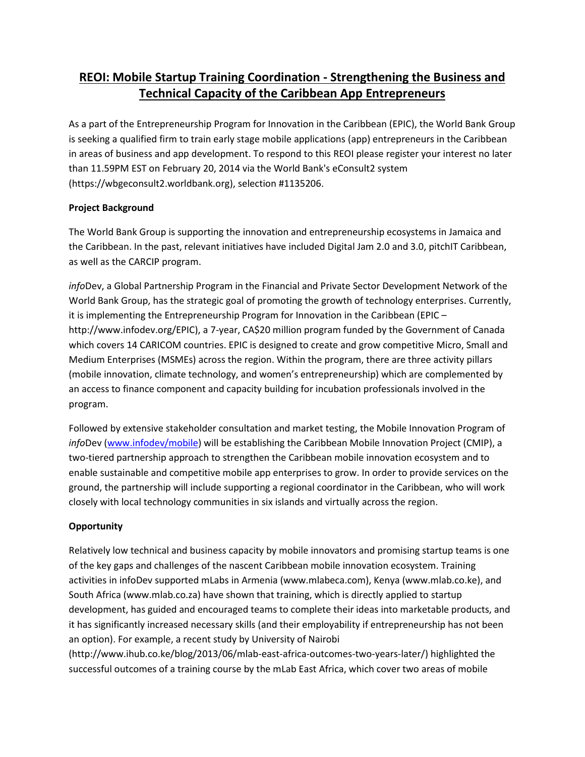# **REOI: Mobile Startup Training Coordination - Strengthening the Business and Technical Capacity of the Caribbean App Entrepreneurs**

As a part of the Entrepreneurship Program for Innovation in the Caribbean (EPIC), the World Bank Group is seeking a qualified firm to train early stage mobile applications (app) entrepreneurs in the Caribbean in areas of business and app development. To respond to this REOI please register your interest no later than 11.59PM EST on February 20, 2014 via the World Bank's eConsult2 system (https://wbgeconsult2.worldbank.org), selection #1135206.

# **Project Background**

The World Bank Group is supporting the innovation and entrepreneurship ecosystems in Jamaica and the Caribbean. In the past, relevant initiatives have included Digital Jam 2.0 and 3.0, pitchIT Caribbean, as well as the CARCIP program.

*info*Dev, a Global Partnership Program in the Financial and Private Sector Development Network of the World Bank Group, has the strategic goal of promoting the growth of technology enterprises. Currently, it is implementing the Entrepreneurship Program for Innovation in the Caribbean (EPIC – http://www.infodev.org/EPIC), a 7-year, CA\$20 million program funded by the Government of Canada which covers 14 CARICOM countries. EPIC is designed to create and grow competitive Micro, Small and Medium Enterprises (MSMEs) across the region. Within the program, there are three activity pillars (mobile innovation, climate technology, and women's entrepreneurship) which are complemented by an access to finance component and capacity building for incubation professionals involved in the program.

Followed by extensive stakeholder consultation and market testing, the Mobile Innovation Program of *info*Dev [\(www.infodev/mobile\)](http://www.infodev/mobile) will be establishing the Caribbean Mobile Innovation Project (CMIP), a two-tiered partnership approach to strengthen the Caribbean mobile innovation ecosystem and to enable sustainable and competitive mobile app enterprises to grow. In order to provide services on the ground, the partnership will include supporting a regional coordinator in the Caribbean, who will work closely with local technology communities in six islands and virtually across the region.

# **Opportunity**

Relatively low technical and business capacity by mobile innovators and promising startup teams is one of the key gaps and challenges of the nascent Caribbean mobile innovation ecosystem. Training activities in infoDev supported mLabs in Armenia (www.mlabeca.com), Kenya (www.mlab.co.ke), and South Africa (www.mlab.co.za) have shown that training, which is directly applied to startup development, has guided and encouraged teams to complete their ideas into marketable products, and it has significantly increased necessary skills (and their employability if entrepreneurship has not been an option). For example, a recent study by University of Nairobi

(http://www.ihub.co.ke/blog/2013/06/mlab-east-africa-outcomes-two-years-later/) highlighted the successful outcomes of a training course by the mLab East Africa, which cover two areas of mobile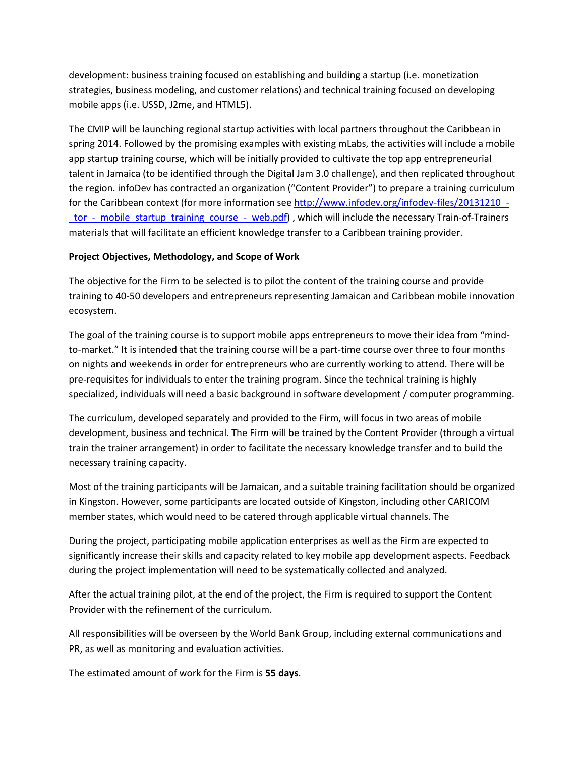development: business training focused on establishing and building a startup (i.e. monetization strategies, business modeling, and customer relations) and technical training focused on developing mobile apps (i.e. USSD, J2me, and HTML5).

The CMIP will be launching regional startup activities with local partners throughout the Caribbean in spring 2014. Followed by the promising examples with existing mLabs, the activities will include a mobile app startup training course, which will be initially provided to cultivate the top app entrepreneurial talent in Jamaica (to be identified through the Digital Jam 3.0 challenge), and then replicated throughout the region. infoDev has contracted an organization ("Content Provider") to prepare a training curriculum for the Caribbean context (for more information see http://www.infodev.org/infodev-files/20131210 tor - mobile\_startup\_training\_course\_-\_web.pdf), which will include the necessary Train-of-Trainers materials that will facilitate an efficient knowledge transfer to a Caribbean training provider.

#### **Project Objectives, Methodology, and Scope of Work**

The objective for the Firm to be selected is to pilot the content of the training course and provide training to 40-50 developers and entrepreneurs representing Jamaican and Caribbean mobile innovation ecosystem.

The goal of the training course is to support mobile apps entrepreneurs to move their idea from "mindto-market." It is intended that the training course will be a part-time course over three to four months on nights and weekends in order for entrepreneurs who are currently working to attend. There will be pre-requisites for individuals to enter the training program. Since the technical training is highly specialized, individuals will need a basic background in software development / computer programming.

The curriculum, developed separately and provided to the Firm, will focus in two areas of mobile development, business and technical. The Firm will be trained by the Content Provider (through a virtual train the trainer arrangement) in order to facilitate the necessary knowledge transfer and to build the necessary training capacity.

Most of the training participants will be Jamaican, and a suitable training facilitation should be organized in Kingston. However, some participants are located outside of Kingston, including other CARICOM member states, which would need to be catered through applicable virtual channels. The

During the project, participating mobile application enterprises as well as the Firm are expected to significantly increase their skills and capacity related to key mobile app development aspects. Feedback during the project implementation will need to be systematically collected and analyzed.

After the actual training pilot, at the end of the project, the Firm is required to support the Content Provider with the refinement of the curriculum.

All responsibilities will be overseen by the World Bank Group, including external communications and PR, as well as monitoring and evaluation activities.

The estimated amount of work for the Firm is **55 days**.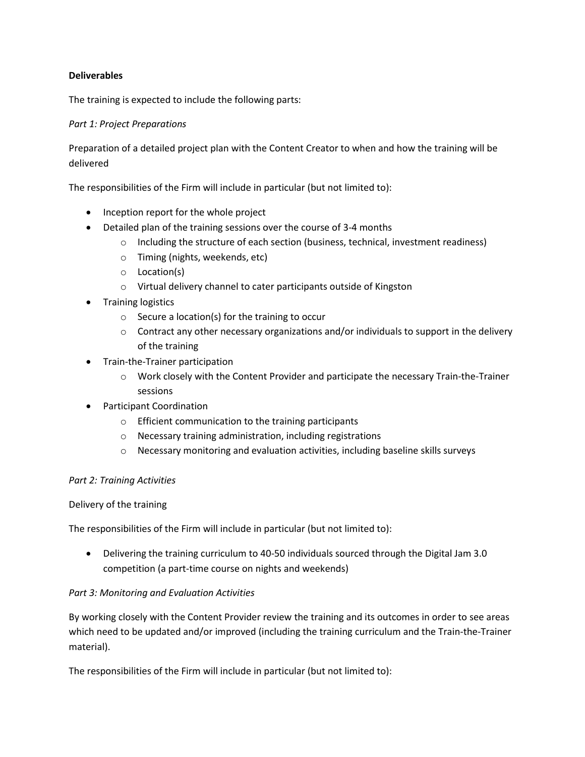#### **Deliverables**

The training is expected to include the following parts:

### *Part 1: Project Preparations*

Preparation of a detailed project plan with the Content Creator to when and how the training will be delivered

The responsibilities of the Firm will include in particular (but not limited to):

- Inception report for the whole project
- Detailed plan of the training sessions over the course of 3-4 months
	- $\circ$  Including the structure of each section (business, technical, investment readiness)
	- o Timing (nights, weekends, etc)
	- o Location(s)
	- o Virtual delivery channel to cater participants outside of Kingston
- Training logistics
	- o Secure a location(s) for the training to occur
	- $\circ$  Contract any other necessary organizations and/or individuals to support in the delivery of the training
- Train-the-Trainer participation
	- o Work closely with the Content Provider and participate the necessary Train-the-Trainer sessions
- Participant Coordination
	- o Efficient communication to the training participants
	- o Necessary training administration, including registrations
	- $\circ$  Necessary monitoring and evaluation activities, including baseline skills surveys

#### *Part 2: Training Activities*

#### Delivery of the training

The responsibilities of the Firm will include in particular (but not limited to):

 Delivering the training curriculum to 40-50 individuals sourced through the Digital Jam 3.0 competition (a part-time course on nights and weekends)

#### *Part 3: Monitoring and Evaluation Activities*

By working closely with the Content Provider review the training and its outcomes in order to see areas which need to be updated and/or improved (including the training curriculum and the Train-the-Trainer material).

The responsibilities of the Firm will include in particular (but not limited to):